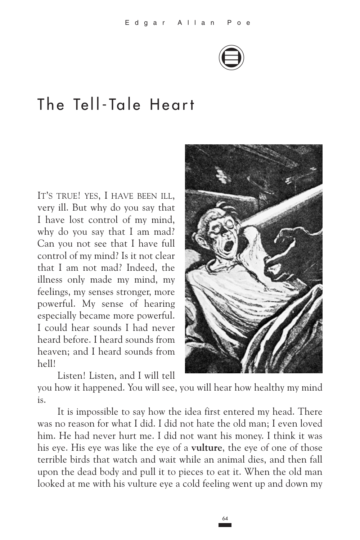

## The Tell-Tale Heart

IT'S TRUE! YES, I HAVE BEEN ILL, very ill. But why do you say that I have lost control of my mind, why do you say that I am mad? Can you not see that I have full control of my mind? Is it not clear that I am not mad? Indeed, the illness only made my mind, my feelings, my senses stronger, more powerful. My sense of hearing especially became more powerful. I could hear sounds I had never heard before. I heard sounds from heaven; and I heard sounds from hell!

Listen! Listen, and I will tell

you how it happened. You will see, you will hear how healthy my mind is.

It is impossible to say how the idea first entered my head. There was no reason for what I did. I did not hate the old man; I even loved him. He had never hurt me. I did not want his money. I think it was his eye. His eye was like the eye of a **vulture**, the eye of one of those terrible birds that watch and wait while an animal dies, and then fall upon the dead body and pull it to pieces to eat it. When the old man looked at me with his vulture eye a cold feeling went up and down my

64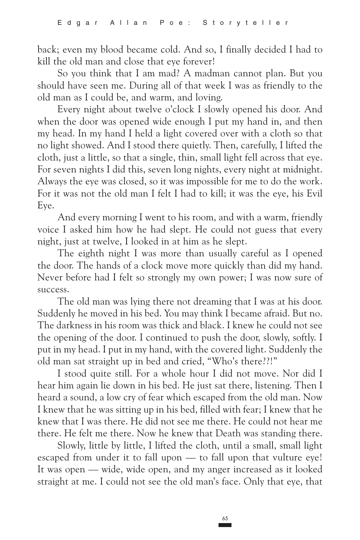back; even my blood became cold. And so, I finally decided I had to kill the old man and close that eye forever!

So you think that I am mad? A madman cannot plan. But you should have seen me. During all of that week I was as friendly to the old man as I could be, and warm, and loving.

Every night about twelve o'clock I slowly opened his door. And when the door was opened wide enough I put my hand in, and then my head. In my hand I held a light covered over with a cloth so that no light showed. And I stood there quietly. Then, carefully, I lifted the cloth, just a little, so that a single, thin, small light fell across that eye. For seven nights I did this, seven long nights, every night at midnight. Always the eye was closed, so it was impossible for me to do the work. For it was not the old man I felt I had to kill; it was the eye, his Evil Eye.

And every morning I went to his room, and with a warm, friendly voice I asked him how he had slept. He could not guess that every night, just at twelve, I looked in at him as he slept.

The eighth night I was more than usually careful as I opened the door. The hands of a clock move more quickly than did my hand. Never before had I felt so strongly my own power; I was now sure of success.

The old man was lying there not dreaming that I was at his door. Suddenly he moved in his bed. You may think I became afraid. But no. The darkness in his room was thick and black. I knew he could not see the opening of the door. I continued to push the door, slowly, softly. I put in my head. I put in my hand, with the covered light. Suddenly the old man sat straight up in bed and cried, "Who's there??!"

I stood quite still. For a whole hour I did not move. Nor did I hear him again lie down in his bed. He just sat there, listening. Then I heard a sound, a low cry of fear which escaped from the old man. Now I knew that he was sitting up in his bed, filled with fear; I knew that he knew that I was there. He did not see me there. He could not hear me there. He felt me there. Now he knew that Death was standing there.

Slowly, little by little, I lifted the cloth, until a small, small light escaped from under it to fall upon — to fall upon that vulture eye! It was open — wide, wide open, and my anger increased as it looked straight at me. I could not see the old man's face. Only that eye, that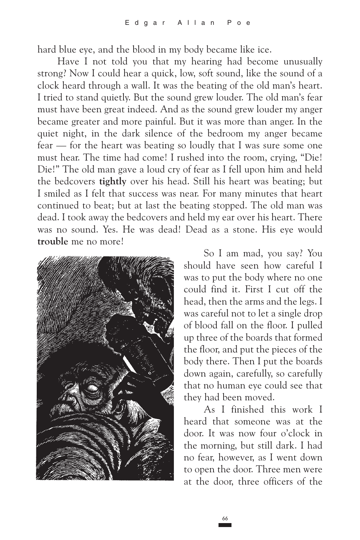hard blue eye, and the blood in my body became like ice.

Have I not told you that my hearing had become unusually strong? Now I could hear a quick, low, soft sound, like the sound of a clock heard through a wall. It was the beating of the old man's heart. I tried to stand quietly. But the sound grew louder. The old man's fear must have been great indeed. And as the sound grew louder my anger became greater and more painful. But it was more than anger. In the quiet night, in the dark silence of the bedroom my anger became fear — for the heart was beating so loudly that I was sure some one must hear. The time had come! I rushed into the room, crying, "Die! Die!" The old man gave a loud cry of fear as I fell upon him and held the bedcovers **tightly** over his head. Still his heart was beating; but I smiled as I felt that success was near. For many minutes that heart continued to beat; but at last the beating stopped. The old man was dead. I took away the bedcovers and held my ear over his heart. There was no sound. Yes. He was dead! Dead as a stone. His eye would **trouble** me no more!



So I am mad, you say? You should have seen how careful I was to put the body where no one could find it. First I cut off the head, then the arms and the legs. I was careful not to let a single drop of blood fall on the floor. I pulled up three of the boards that formed the floor, and put the pieces of the body there. Then I put the boards down again, carefully, so carefully that no human eye could see that they had been moved.

As I finished this work I heard that someone was at the door. It was now four o'clock in the morning, but still dark. I had no fear, however, as I went down to open the door. Three men were at the door, three officers of the

66